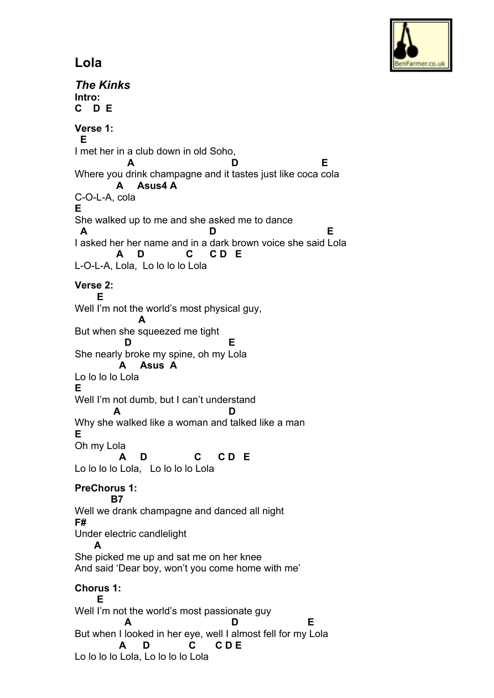

## **Lola**

*The Kinks* **Intro: C D E Verse 1: E** I met her in a club down in old Soho,  **A D E** Where you drink champagne and it tastes just like coca cola  **A Asus4 A** C-O-L-A, cola **E** She walked up to me and she asked me to dance  **A D E** I asked her her name and in a dark brown voice she said Lola **D** C CD E L-O-L-A, Lola, Lo lo lo lo Lola **Verse 2: E** Well I'm not the world's most physical guy,  **A** But when she squeezed me tight  **D E** She nearly broke my spine, oh my Lola  **A Asus A** Lo lo lo lo Lola **E** Well I'm not dumb, but I can't understand  **A D** Why she walked like a woman and talked like a man **E** Oh my Lola  **A D C C D E** Lo lo lo lo Lola, Lo lo lo lo Lola **PreChorus 1: B7** Well we drank champagne and danced all night **F#** Under electric candlelight  **A** She picked me up and sat me on her knee And said 'Dear boy, won't you come home with me' **Chorus 1: E** Well I'm not the world's most passionate guy  **A D E** But when I looked in her eye, well I almost fell for my Lola  **A D C C D E** Lo lo lo lo Lola, Lo lo lo lo Lola